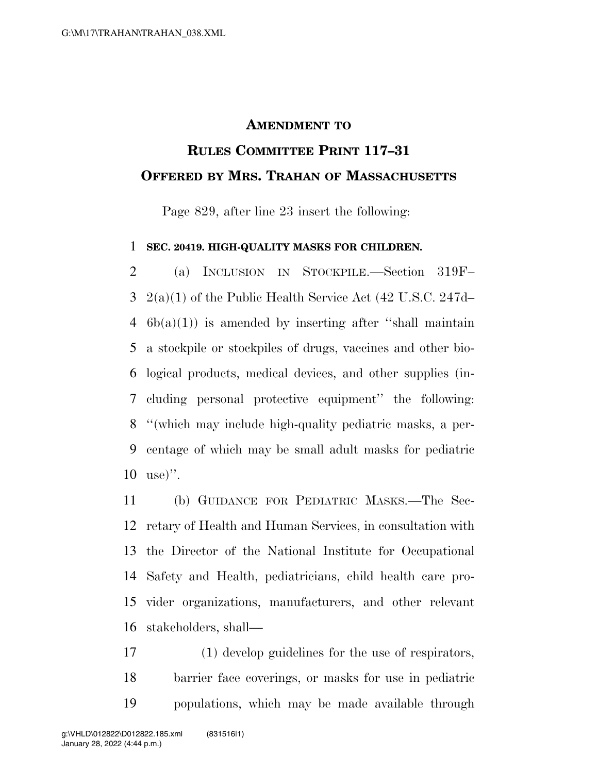## **AMENDMENT TO**

## **RULES COMMITTEE PRINT 117–31 OFFERED BY MRS. TRAHAN OF MASSACHUSETTS**

Page 829, after line 23 insert the following:

## **SEC. 20419. HIGH-QUALITY MASKS FOR CHILDREN.**

 (a) INCLUSION IN STOCKPILE.—Section 319F– 2(a)(1) of the Public Health Service Act (42 U.S.C. 247d–  $6b(a)(1)$  is amended by inserting after "shall maintain a stockpile or stockpiles of drugs, vaccines and other bio- logical products, medical devices, and other supplies (in- cluding personal protective equipment'' the following: ''(which may include high-quality pediatric masks, a per- centage of which may be small adult masks for pediatric use)''.

 (b) GUIDANCE FOR PEDIATRIC MASKS.—The Sec- retary of Health and Human Services, in consultation with the Director of the National Institute for Occupational Safety and Health, pediatricians, child health care pro- vider organizations, manufacturers, and other relevant stakeholders, shall—

 (1) develop guidelines for the use of respirators, barrier face coverings, or masks for use in pediatric populations, which may be made available through